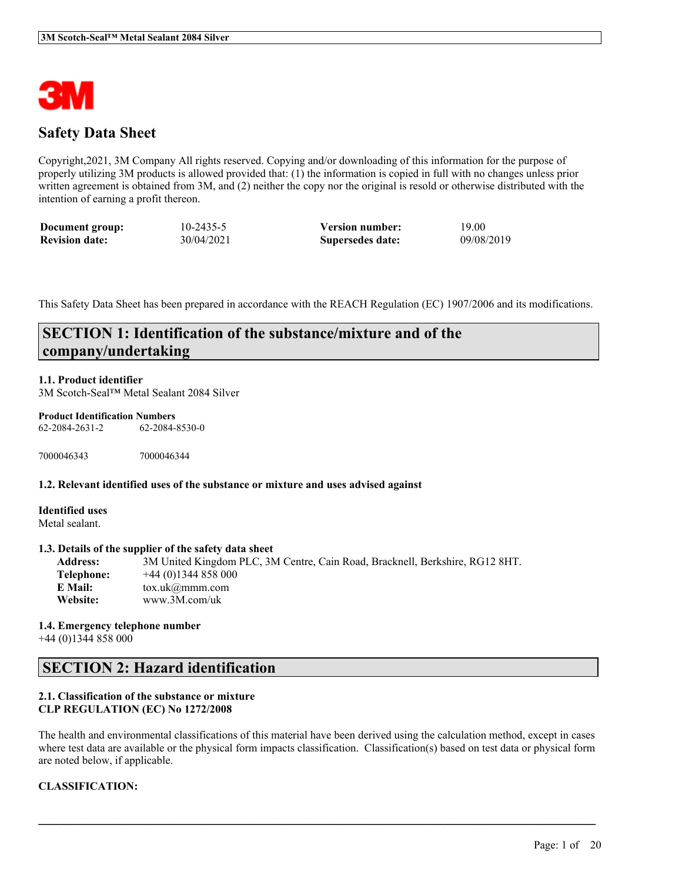

# **Safety Data Sheet**

Copyright,2021, 3M Company All rights reserved. Copying and/or downloading of this information for the purpose of properly utilizing 3M products is allowed provided that: (1) the information is copied in full with no changes unless prior written agreement is obtained from 3M, and (2) neither the copy nor the original is resold or otherwise distributed with the intention of earning a profit thereon.

| Document group:       | $10 - 2435 - 5$ | <b>Version number:</b> | 19.00      |
|-----------------------|-----------------|------------------------|------------|
| <b>Revision date:</b> | 30/04/2021      | Supersedes date:       | 09/08/2019 |

This Safety Data Sheet has been prepared in accordance with the REACH Regulation (EC) 1907/2006 and its modifications.

# **SECTION 1: Identification of the substance/mixture and of the company/undertaking**

#### **1.1. Product identifier**

3M Scotch-Seal™ Metal Sealant 2084 Silver

#### **Product Identification Numbers**

62-2084-2631-2 62-2084-8530-0

7000046343 7000046344

#### **1.2. Relevant identified uses of the substance or mixture and uses advised against**

**Identified uses** Metal sealant.

#### **1.3. Details of the supplier of the safety data sheet**

**Address:** 3M United Kingdom PLC, 3M Centre, Cain Road, Bracknell, Berkshire, RG12 8HT. **Telephone:** +44 (0)1344 858 000 **E Mail:** tox.uk@mmm.com **Website:** www.3M.com/uk

**1.4. Emergency telephone number** +44 (0)1344 858 000

## **SECTION 2: Hazard identification**

## **2.1. Classification of the substance or mixture CLP REGULATION (EC) No 1272/2008**

The health and environmental classifications of this material have been derived using the calculation method, except in cases where test data are available or the physical form impacts classification. Classification(s) based on test data or physical form are noted below, if applicable.

 $\mathcal{L}_\mathcal{L} = \mathcal{L}_\mathcal{L} = \mathcal{L}_\mathcal{L} = \mathcal{L}_\mathcal{L} = \mathcal{L}_\mathcal{L} = \mathcal{L}_\mathcal{L} = \mathcal{L}_\mathcal{L} = \mathcal{L}_\mathcal{L} = \mathcal{L}_\mathcal{L} = \mathcal{L}_\mathcal{L} = \mathcal{L}_\mathcal{L} = \mathcal{L}_\mathcal{L} = \mathcal{L}_\mathcal{L} = \mathcal{L}_\mathcal{L} = \mathcal{L}_\mathcal{L} = \mathcal{L}_\mathcal{L} = \mathcal{L}_\mathcal{L}$ 

## **CLASSIFICATION:**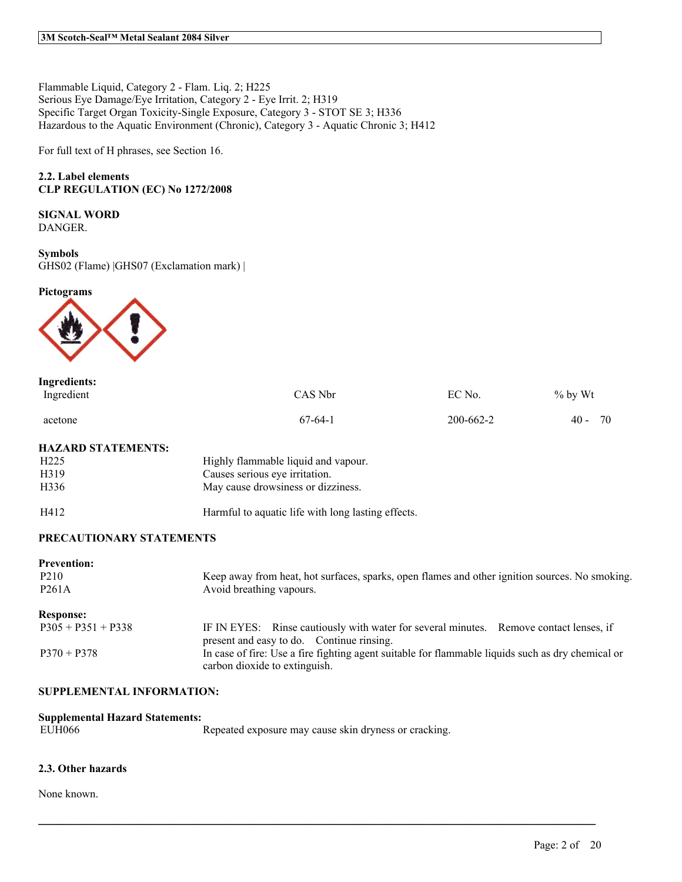Flammable Liquid, Category 2 - Flam. Liq. 2; H225 Serious Eye Damage/Eye Irritation, Category 2 - Eye Irrit. 2; H319 Specific Target Organ Toxicity-Single Exposure, Category 3 - STOT SE 3; H336 Hazardous to the Aquatic Environment (Chronic), Category 3 - Aquatic Chronic 3; H412

For full text of H phrases, see Section 16.

## **2.2. Label elements CLP REGULATION (EC) No 1272/2008**

## **SIGNAL WORD**

DANGER.

#### **Symbols** GHS02 (Flame) |GHS07 (Exclamation mark) |

**Pictograms**



| <b>Ingredients:</b> |           |           |              |
|---------------------|-----------|-----------|--------------|
| Ingredient          | CAS Nbr   | EC No.    | $%$ by Wt    |
| acetone             | $67-64-1$ | 200-662-2 | 70<br>$40 -$ |

## **HAZARD STATEMENTS:**

| H <sub>225</sub>  | Highly flammable liquid and vapour.                |
|-------------------|----------------------------------------------------|
| H <sub>3</sub> 19 | Causes serious eye irritation.                     |
| H <sub>336</sub>  | May cause drowsiness or dizziness.                 |
| H412              | Harmful to aquatic life with long lasting effects. |

#### **PRECAUTIONARY STATEMENTS**

| <b>Prevention:</b><br>P <sub>2</sub> 10<br>P <sub>261</sub> A | Keep away from heat, hot surfaces, sparks, open flames and other ignition sources. No smoking.<br>Avoid breathing vapours.          |
|---------------------------------------------------------------|-------------------------------------------------------------------------------------------------------------------------------------|
| <b>Response:</b>                                              |                                                                                                                                     |
| $P305 + P351 + P338$                                          | IF IN EYES: Rinse cautiously with water for several minutes. Remove contact lenses, if<br>present and easy to do. Continue rinsing. |
| $P370 + P378$                                                 | In case of fire: Use a fire fighting agent suitable for flammable liquids such as dry chemical or<br>carbon dioxide to extinguish.  |

 $\mathcal{L}_\mathcal{L} = \mathcal{L}_\mathcal{L} = \mathcal{L}_\mathcal{L} = \mathcal{L}_\mathcal{L} = \mathcal{L}_\mathcal{L} = \mathcal{L}_\mathcal{L} = \mathcal{L}_\mathcal{L} = \mathcal{L}_\mathcal{L} = \mathcal{L}_\mathcal{L} = \mathcal{L}_\mathcal{L} = \mathcal{L}_\mathcal{L} = \mathcal{L}_\mathcal{L} = \mathcal{L}_\mathcal{L} = \mathcal{L}_\mathcal{L} = \mathcal{L}_\mathcal{L} = \mathcal{L}_\mathcal{L} = \mathcal{L}_\mathcal{L}$ 

## **SUPPLEMENTAL INFORMATION:**

| <b>Supplemental Hazard Statements:</b> |                                                       |  |  |
|----------------------------------------|-------------------------------------------------------|--|--|
| EUH066                                 | Repeated exposure may cause skin dryness or cracking. |  |  |

## **2.3. Other hazards**

None known.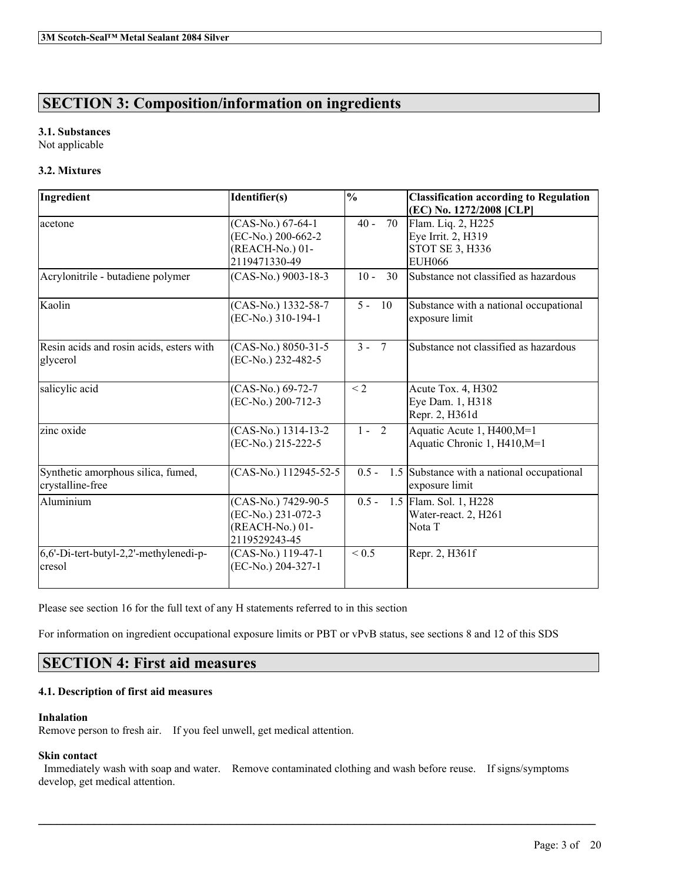# **SECTION 3: Composition/information on ingredients**

## **3.1. Substances**

Not applicable

## **3.2. Mixtures**

| Ingredient                                             | Identifier(s)                                                                 | $\overline{\frac{0}{0}}$ | <b>Classification according to Regulation</b><br>(EC) No. 1272/2008 [CLP]    |
|--------------------------------------------------------|-------------------------------------------------------------------------------|--------------------------|------------------------------------------------------------------------------|
| acetone                                                | (CAS-No.) 67-64-1<br>(EC-No.) 200-662-2<br>(REACH-No.) 01-<br>2119471330-49   | $40 -$<br>70             | Flam. Liq. 2, H225<br>Eye Irrit. 2, H319<br>STOT SE 3, H336<br><b>EUH066</b> |
| Acrylonitrile - butadiene polymer                      | (CAS-No.) 9003-18-3                                                           | $10 -$<br>30             | Substance not classified as hazardous                                        |
| Kaolin                                                 | (CAS-No.) 1332-58-7<br>(EC-No.) 310-194-1                                     | $5 -$<br>10              | Substance with a national occupational<br>exposure limit                     |
| Resin acids and rosin acids, esters with<br>glycerol   | (CAS-No.) 8050-31-5<br>(EC-No.) 232-482-5                                     | $3 -$<br>$\overline{7}$  | Substance not classified as hazardous                                        |
| salicylic acid                                         | (CAS-No.) 69-72-7<br>(EC-No.) 200-712-3                                       | < 2                      | Acute Tox. 4, H302<br>Eye Dam. 1, H318<br>Repr. 2, H361d                     |
| zinc oxide                                             | (CAS-No.) 1314-13-2<br>(EC-No.) 215-222-5                                     | $1 - 2$                  | Aquatic Acute 1, H400, M=1<br>Aquatic Chronic 1, H410, M=1                   |
| Synthetic amorphous silica, fumed,<br>crystalline-free | (CAS-No.) 112945-52-5                                                         | $0.5 -$                  | 1.5 Substance with a national occupational<br>exposure limit                 |
| Aluminium                                              | (CAS-No.) 7429-90-5<br>(EC-No.) 231-072-3<br>(REACH-No.) 01-<br>2119529243-45 | $0.5 -$                  | 1.5 Flam. Sol. 1, H228<br>Water-react. 2, H261<br>Nota T                     |
| 6,6'-Di-tert-butyl-2,2'-methylenedi-p-<br>cresol       | (CAS-No.) 119-47-1<br>(EC-No.) 204-327-1                                      | ${}_{0.5}$               | Repr. 2, H361f                                                               |

Please see section 16 for the full text of any H statements referred to in this section

For information on ingredient occupational exposure limits or PBT or vPvB status, see sections 8 and 12 of this SDS

# **SECTION 4: First aid measures**

## **4.1. Description of first aid measures**

## **Inhalation**

Remove person to fresh air. If you feel unwell, get medical attention.

## **Skin contact**

Immediately wash with soap and water. Remove contaminated clothing and wash before reuse. If signs/symptoms develop, get medical attention.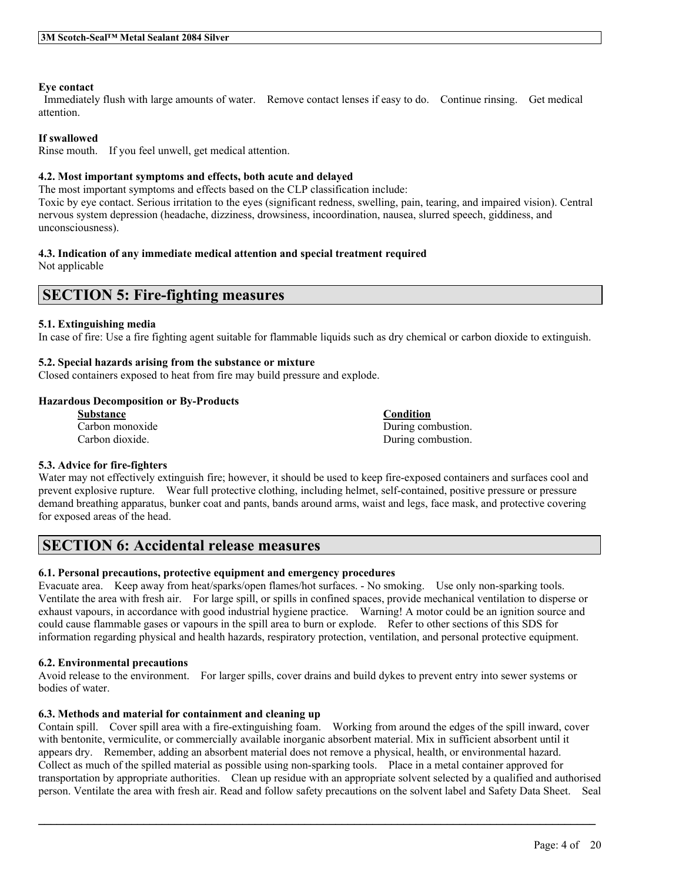## **Eye contact**

Immediately flush with large amounts of water. Remove contact lenses if easy to do. Continue rinsing. Get medical attention.

### **If swallowed**

Rinse mouth. If you feel unwell, get medical attention.

## **4.2. Most important symptoms and effects, both acute and delayed**

The most important symptoms and effects based on the CLP classification include:

Toxic by eye contact. Serious irritation to the eyes (significant redness, swelling, pain, tearing, and impaired vision). Central nervous system depression (headache, dizziness, drowsiness, incoordination, nausea, slurred speech, giddiness, and unconsciousness).

### **4.3. Indication of any immediate medical attention and special treatment required**

Not applicable

# **SECTION 5: Fire-fighting measures**

### **5.1. Extinguishing media**

In case of fire: Use a fire fighting agent suitable for flammable liquids such as dry chemical or carbon dioxide to extinguish.

## **5.2. Special hazards arising from the substance or mixture**

Closed containers exposed to heat from fire may build pressure and explode.

### **Hazardous Decomposition or By-Products**

| <b>Substance</b> | <b>Condition</b>   |
|------------------|--------------------|
| Carbon monoxide  | During combustion. |
| Carbon dioxide.  | During combustion. |

## **5.3. Advice for fire-fighters**

Water may not effectively extinguish fire; however, it should be used to keep fire-exposed containers and surfaces cool and prevent explosive rupture. Wear full protective clothing, including helmet, self-contained, positive pressure or pressure demand breathing apparatus, bunker coat and pants, bands around arms, waist and legs, face mask, and protective covering for exposed areas of the head.

# **SECTION 6: Accidental release measures**

## **6.1. Personal precautions, protective equipment and emergency procedures**

Evacuate area. Keep away from heat/sparks/open flames/hot surfaces. - No smoking. Use only non-sparking tools. Ventilate the area with fresh air. For large spill, or spills in confined spaces, provide mechanical ventilation to disperse or exhaust vapours, in accordance with good industrial hygiene practice. Warning! A motor could be an ignition source and could cause flammable gases or vapours in the spill area to burn or explode. Refer to other sections of this SDS for information regarding physical and health hazards, respiratory protection, ventilation, and personal protective equipment.

#### **6.2. Environmental precautions**

Avoid release to the environment. For larger spills, cover drains and build dykes to prevent entry into sewer systems or bodies of water.

## **6.3. Methods and material for containment and cleaning up**

Contain spill. Cover spill area with a fire-extinguishing foam. Working from around the edges of the spill inward, cover with bentonite, vermiculite, or commercially available inorganic absorbent material. Mix in sufficient absorbent until it appears dry. Remember, adding an absorbent material does not remove a physical, health, or environmental hazard. Collect as much of the spilled material as possible using non-sparking tools. Place in a metal container approved for transportation by appropriate authorities. Clean up residue with an appropriate solvent selected by a qualified and authorised person. Ventilate the area with fresh air. Read and follow safety precautions on the solvent label and Safety Data Sheet. Seal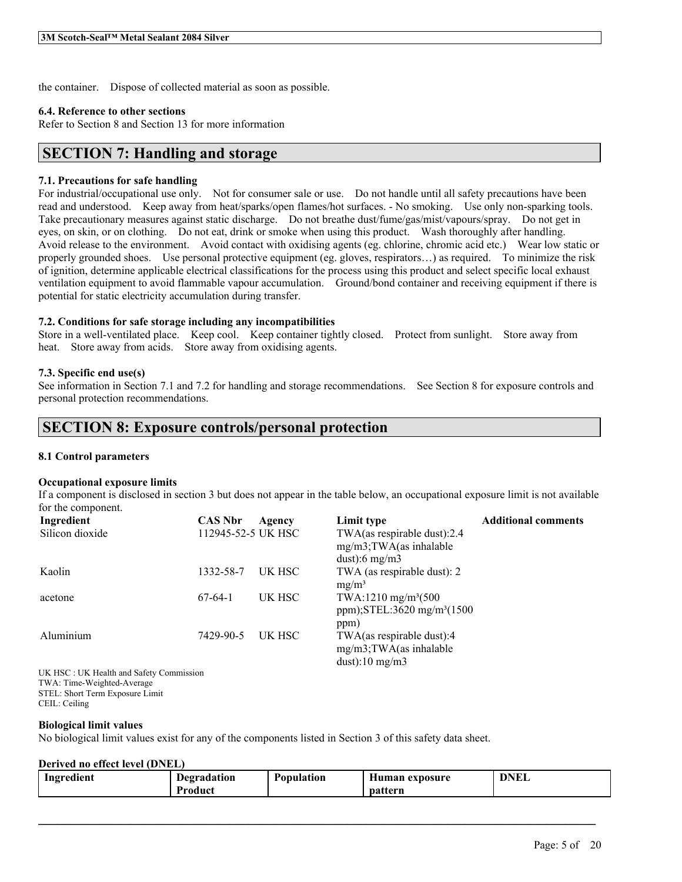the container. Dispose of collected material as soon as possible.

#### **6.4. Reference to other sections**

Refer to Section 8 and Section 13 for more information

## **SECTION 7: Handling and storage**

#### **7.1. Precautions for safe handling**

For industrial/occupational use only. Not for consumer sale or use. Do not handle until all safety precautions have been read and understood. Keep away from heat/sparks/open flames/hot surfaces. - No smoking. Use only non-sparking tools. Take precautionary measures against static discharge. Do not breathe dust/fume/gas/mist/vapours/spray. Do not get in eyes, on skin, or on clothing. Do not eat, drink or smoke when using this product. Wash thoroughly after handling. Avoid release to the environment. Avoid contact with oxidising agents (eg. chlorine, chromic acid etc.) Wear low static or properly grounded shoes. Use personal protective equipment (eg. gloves, respirators…) as required. To minimize the risk of ignition, determine applicable electrical classifications for the process using this product and select specific local exhaust ventilation equipment to avoid flammable vapour accumulation. Ground/bond container and receiving equipment if there is potential for static electricity accumulation during transfer.

#### **7.2. Conditions for safe storage including any incompatibilities**

Store in a well-ventilated place. Keep cool. Keep container tightly closed. Protect from sunlight. Store away from heat. Store away from acids. Store away from oxidising agents.

#### **7.3. Specific end use(s)**

See information in Section 7.1 and 7.2 for handling and storage recommendations. See Section 8 for exposure controls and personal protection recommendations.

## **SECTION 8: Exposure controls/personal protection**

#### **8.1 Control parameters**

#### **Occupational exposure limits**

If a component is disclosed in section 3 but does not appear in the table below, an occupational exposure limit is not available for the component.

| Ingredient                              | <b>CAS Nbr</b>     | Agency | Limit type                             | <b>Additional comments</b> |
|-----------------------------------------|--------------------|--------|----------------------------------------|----------------------------|
| Silicon dioxide                         | 112945-52-5 UK HSC |        | TWA(as respirable dust):2.4            |                            |
|                                         |                    |        | $mg/m3$ ; TWA(as inhalable             |                            |
|                                         |                    |        | dust: 6 mg/m $3$                       |                            |
| Kaolin                                  | 1332-58-7          | UK HSC | TWA (as respirable dust): 2            |                            |
|                                         |                    |        | $mg/m^3$                               |                            |
| acetone                                 | $67-64-1$          | UK HSC | TWA:1210 mg/m <sup>3</sup> (500)       |                            |
|                                         |                    |        | ppm);STEL:3620 mg/m <sup>3</sup> (1500 |                            |
|                                         |                    |        | ppm)                                   |                            |
| Aluminium                               | 7429-90-5          | UK HSC | TWA(as respirable dust):4              |                            |
|                                         |                    |        | $mg/m3$ ; TWA(as inhalable             |                            |
|                                         |                    |        | dust):10 $mg/m3$                       |                            |
| UK HSC: UK Health and Safety Commission |                    |        |                                        |                            |
| TWA: Time-Weighted-Average              |                    |        |                                        |                            |

STEL: Short Term Exposure Limit CEIL: Ceiling

#### **Biological limit values**

No biological limit values exist for any of the components listed in Section 3 of this safety data sheet.

#### **Derived no effect level (DNEL)**

| Ingredient | <b>Degradation</b> | Population | Human exposure | DNEL |
|------------|--------------------|------------|----------------|------|
|            | <b>Product</b>     |            | pattern        |      |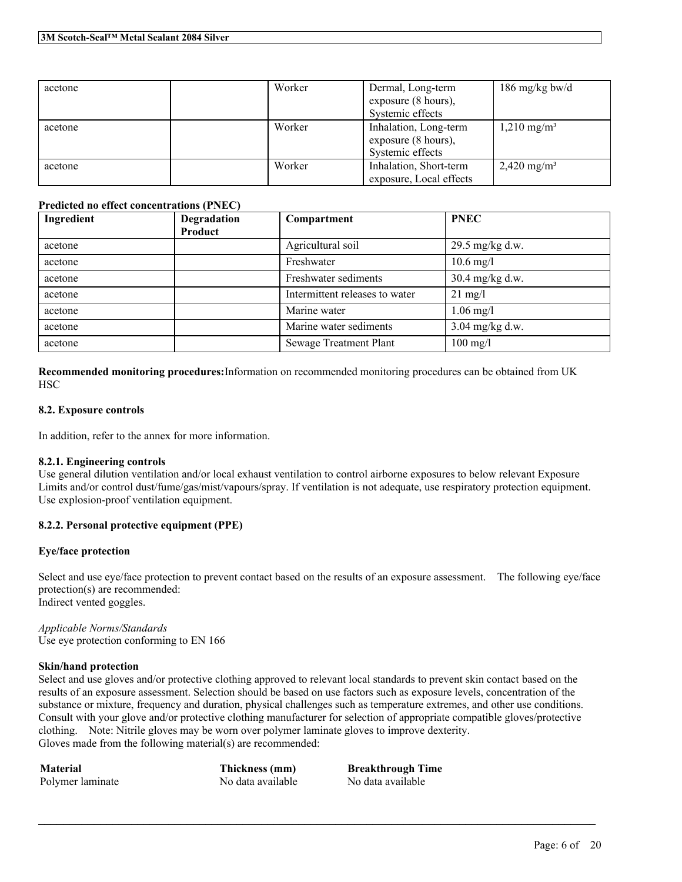| acetone | Worker | Dermal, Long-term       | 186 mg/kg bw/d         |
|---------|--------|-------------------------|------------------------|
|         |        | exposure (8 hours),     |                        |
|         |        | Systemic effects        |                        |
| acetone | Worker | Inhalation, Long-term   | $1,210 \text{ mg/m}^3$ |
|         |        | exposure (8 hours),     |                        |
|         |        | Systemic effects        |                        |
| acetone | Worker | Inhalation, Short-term  | $2,420 \text{ mg/m}^3$ |
|         |        | exposure, Local effects |                        |

### **Predicted no effect concentrations (PNEC)**

| Ingredient | Degradation<br><b>Product</b> | Compartment                    | <b>PNEC</b>            |
|------------|-------------------------------|--------------------------------|------------------------|
| acetone    |                               | Agricultural soil              | 29.5 mg/kg d.w.        |
| acetone    |                               | Freshwater                     | $10.6 \,\mathrm{mg}/l$ |
| acetone    |                               | Freshwater sediments           | 30.4 mg/kg d.w.        |
| acetone    |                               | Intermittent releases to water | $21 \text{ mg/l}$      |
| acetone    |                               | Marine water                   | $1.06$ mg/l            |
| acetone    |                               | Marine water sediments         | $3.04$ mg/kg d.w.      |
| acetone    |                               | <b>Sewage Treatment Plant</b>  | $100$ mg/l             |

**Recommended monitoring procedures:**Information on recommended monitoring procedures can be obtained from UK **HSC** 

### **8.2. Exposure controls**

In addition, refer to the annex for more information.

## **8.2.1. Engineering controls**

Use general dilution ventilation and/or local exhaust ventilation to control airborne exposures to below relevant Exposure Limits and/or control dust/fume/gas/mist/vapours/spray. If ventilation is not adequate, use respiratory protection equipment. Use explosion-proof ventilation equipment.

## **8.2.2. Personal protective equipment (PPE)**

#### **Eye/face protection**

Select and use eye/face protection to prevent contact based on the results of an exposure assessment. The following eye/face protection(s) are recommended: Indirect vented goggles.

*Applicable Norms/Standards* Use eye protection conforming to EN 166

#### **Skin/hand protection**

Select and use gloves and/or protective clothing approved to relevant local standards to prevent skin contact based on the results of an exposure assessment. Selection should be based on use factors such as exposure levels, concentration of the substance or mixture, frequency and duration, physical challenges such as temperature extremes, and other use conditions. Consult with your glove and/or protective clothing manufacturer for selection of appropriate compatible gloves/protective clothing. Note: Nitrile gloves may be worn over polymer laminate gloves to improve dexterity. Gloves made from the following material(s) are recommended:

 $\mathcal{L}_\mathcal{L} = \mathcal{L}_\mathcal{L} = \mathcal{L}_\mathcal{L} = \mathcal{L}_\mathcal{L} = \mathcal{L}_\mathcal{L} = \mathcal{L}_\mathcal{L} = \mathcal{L}_\mathcal{L} = \mathcal{L}_\mathcal{L} = \mathcal{L}_\mathcal{L} = \mathcal{L}_\mathcal{L} = \mathcal{L}_\mathcal{L} = \mathcal{L}_\mathcal{L} = \mathcal{L}_\mathcal{L} = \mathcal{L}_\mathcal{L} = \mathcal{L}_\mathcal{L} = \mathcal{L}_\mathcal{L} = \mathcal{L}_\mathcal{L}$ 

**Material Thickness (mm) Breakthrough Time** Polymer laminate No data available No data available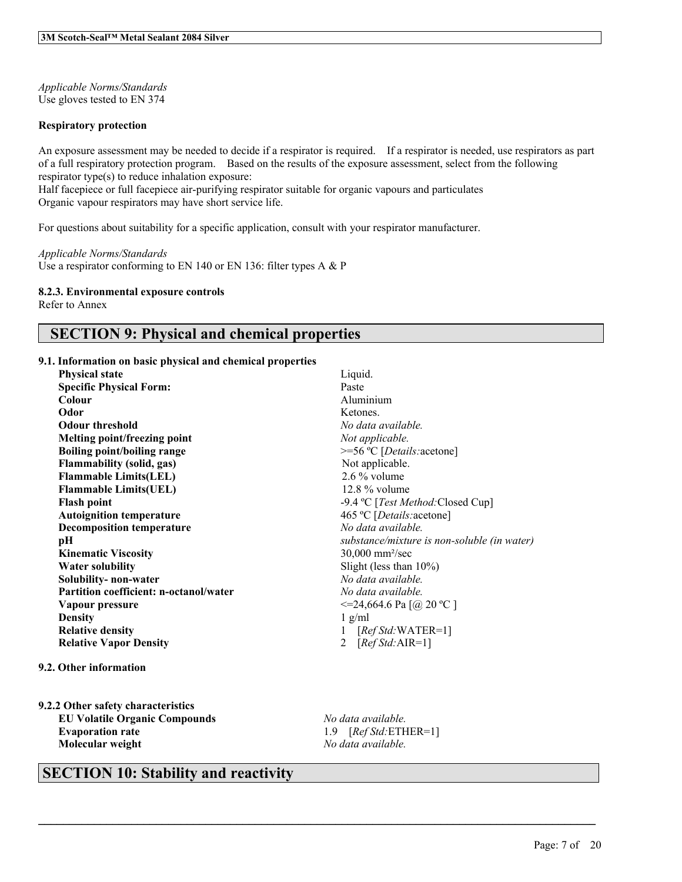*Applicable Norms/Standards* Use gloves tested to EN 374

#### **Respiratory protection**

An exposure assessment may be needed to decide if a respirator is required. If a respirator is needed, use respirators as part of a full respiratory protection program. Based on the results of the exposure assessment, select from the following respirator type(s) to reduce inhalation exposure:

Half facepiece or full facepiece air-purifying respirator suitable for organic vapours and particulates Organic vapour respirators may have short service life.

For questions about suitability for a specific application, consult with your respirator manufacturer.

*Applicable Norms/Standards* Use a respirator conforming to EN 140 or EN 136: filter types A & P

#### **8.2.3. Environmental exposure controls**

Refer to Annex

# **SECTION 9: Physical and chemical properties**

### **9.1. Information on basic physical and chemical properties**

- **Physical state** Liquid. **Specific Physical Form:** Paste Colour Paste **Odor** Ketones. **Odour threshold** *No data available.* **Melting point/freezing point** *Not applicable.* **Boiling point/boiling range**  $\geq$   $\equiv$  56 °C [*Details:*acetone] **Flammability** (solid, gas) Not applicable. **Flammable Limits(LEL)** 2.6 % volume **Flammable Limits(UEL)** 12.8 % volume **Flash point**  $-9.4 \text{ °C}$  [*Test Method:*Closed Cup] **Autoignition temperature** 465 ºC [*Details:*acetone] **Decomposition temperature** *No data available.* **Kinematic Viscosity** 30,000 mm²/sec **Water solubility** Slight (less than 10%) **Solubility- non-water** *No data available.* **Partition coefficient: n-octanol/water** *No data available.* **Vapour pressure**  $\leq$  20 °C ] **Density** 1 g/ml **Relative density** 1 [*Ref Std:*WATER=1] **Relative Vapor Density** 2 [*Ref Std:*AIR=1]
- **9.2. Other information**

**9.2.2 Other safety characteristics EU Volatile Organic Compounds** *No data available.* **Evaporation rate** 1.9 [*Ref Std:*ETHER=1] **Molecular weight** *No data available.*

**Colour** Aluminium **pH** *substance/mixture is non-soluble (in water)*

 $\mathcal{L}_\mathcal{L} = \mathcal{L}_\mathcal{L} = \mathcal{L}_\mathcal{L} = \mathcal{L}_\mathcal{L} = \mathcal{L}_\mathcal{L} = \mathcal{L}_\mathcal{L} = \mathcal{L}_\mathcal{L} = \mathcal{L}_\mathcal{L} = \mathcal{L}_\mathcal{L} = \mathcal{L}_\mathcal{L} = \mathcal{L}_\mathcal{L} = \mathcal{L}_\mathcal{L} = \mathcal{L}_\mathcal{L} = \mathcal{L}_\mathcal{L} = \mathcal{L}_\mathcal{L} = \mathcal{L}_\mathcal{L} = \mathcal{L}_\mathcal{L}$ 

# **SECTION 10: Stability and reactivity**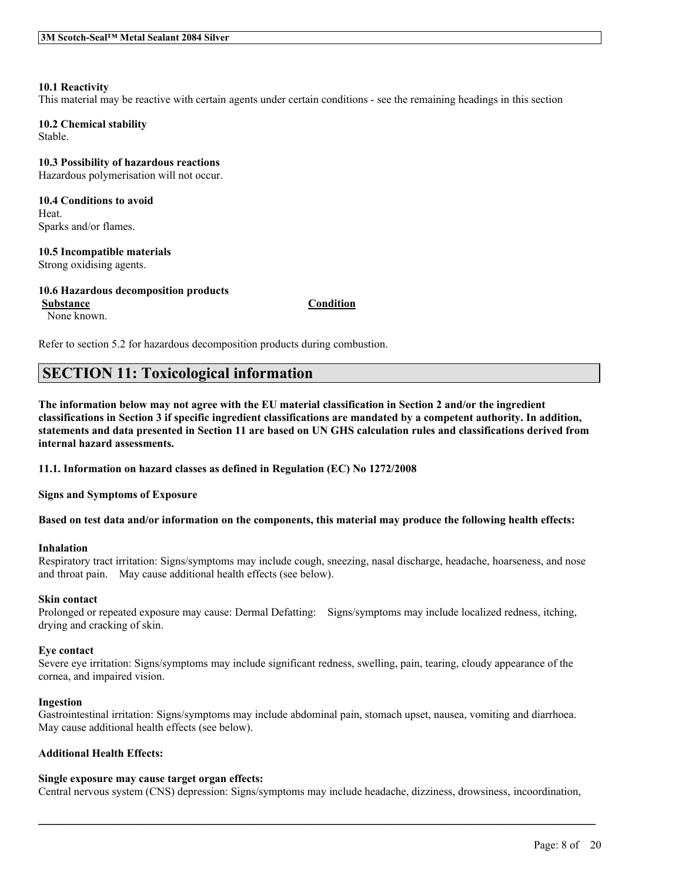#### **10.1 Reactivity**

This material may be reactive with certain agents under certain conditions - see the remaining headings in this section

**10.2 Chemical stability** Stable.

**10.3 Possibility of hazardous reactions** Hazardous polymerisation will not occur.

**10.4 Conditions to avoid** Heat. Sparks and/or flames.

**10.5 Incompatible materials**

Strong oxidising agents.

## **10.6 Hazardous decomposition products**

**Substance Condition**

None known.

Refer to section 5.2 for hazardous decomposition products during combustion.

## **SECTION 11: Toxicological information**

The information below may not agree with the EU material classification in Section 2 and/or the ingredient classifications in Section 3 if specific ingredient classifications are mandated by a competent authority. In addition, statements and data presented in Section 11 are based on UN GHS calculation rules and classifications derived from **internal hazard assessments.**

**11.1. Information on hazard classes as defined in Regulation (EC) No 1272/2008**

**Signs and Symptoms of Exposure**

Based on test data and/or information on the components, this material may produce the following health effects:

#### **Inhalation**

Respiratory tract irritation: Signs/symptoms may include cough, sneezing, nasal discharge, headache, hoarseness, and nose and throat pain. May cause additional health effects (see below).

### **Skin contact**

Prolonged or repeated exposure may cause: Dermal Defatting: Signs/symptoms may include localized redness, itching, drying and cracking of skin.

#### **Eye contact**

Severe eye irritation: Signs/symptoms may include significant redness, swelling, pain, tearing, cloudy appearance of the cornea, and impaired vision.

#### **Ingestion**

Gastrointestinal irritation: Signs/symptoms may include abdominal pain, stomach upset, nausea, vomiting and diarrhoea. May cause additional health effects (see below).

## **Additional Health Effects:**

## **Single exposure may cause target organ effects:**

Central nervous system (CNS) depression: Signs/symptoms may include headache, dizziness, drowsiness, incoordination,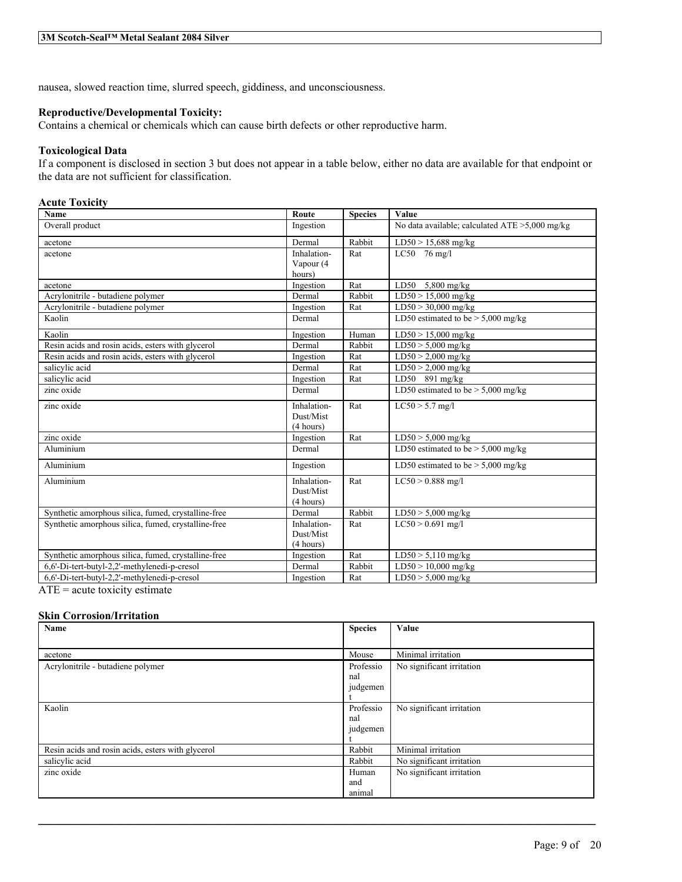nausea, slowed reaction time, slurred speech, giddiness, and unconsciousness.

### **Reproductive/Developmental Toxicity:**

Contains a chemical or chemicals which can cause birth defects or other reproductive harm.

### **Toxicological Data**

If a component is disclosed in section 3 but does not appear in a table below, either no data are available for that endpoint or the data are not sufficient for classification.

## **Acute Toxicity**

| Name                                                           | Route       | <b>Species</b> | Value                                             |
|----------------------------------------------------------------|-------------|----------------|---------------------------------------------------|
| Overall product                                                | Ingestion   |                | No data available; calculated $ATE > 5,000$ mg/kg |
| acetone                                                        | Dermal      | Rabbit         | LD50 > 15,688 mg/kg                               |
| acetone                                                        | Inhalation- | Rat            | LC50 $76$ mg/l                                    |
|                                                                | Vapour (4   |                |                                                   |
|                                                                | hours)      |                |                                                   |
| acetone                                                        | Ingestion   | Rat            | LD50 $5,800$ mg/kg                                |
| Acrylonitrile - butadiene polymer                              | Dermal      | Rabbit         | $LD50 > 15,000$ mg/kg                             |
| Acrylonitrile - butadiene polymer                              | Ingestion   | Rat            | $LD50 > 30,000$ mg/kg                             |
| Kaolin                                                         | Dermal      |                | LD50 estimated to be $> 5,000$ mg/kg              |
| Kaolin                                                         | Ingestion   | Human          | $LD50 > 15,000$ mg/kg                             |
| Resin acids and rosin acids, esters with glycerol              | Dermal      | Rabbit         | $LD50 > 5,000$ mg/kg                              |
| Resin acids and rosin acids, esters with glycerol              | Ingestion   | Rat            | $LD50 > 2,000$ mg/kg                              |
| salicylic acid                                                 | Dermal      | Rat            | $LD50 > 2,000$ mg/kg                              |
| salicylic acid                                                 | Ingestion   | Rat            | LD50 891 mg/kg                                    |
| zinc oxide                                                     | Dermal      |                | LD50 estimated to be $> 5,000$ mg/kg              |
| zinc oxide                                                     | Inhalation- | Rat            | $LC50 > 5.7$ mg/l                                 |
|                                                                | Dust/Mist   |                |                                                   |
|                                                                | (4 hours)   |                |                                                   |
| zinc oxide                                                     | Ingestion   | Rat            | $LD50 > 5,000$ mg/kg                              |
| Aluminium                                                      | Dermal      |                | LD50 estimated to be $> 5,000$ mg/kg              |
| Aluminium                                                      | Ingestion   |                | LD50 estimated to be $> 5,000$ mg/kg              |
| Aluminium                                                      | Inhalation- | Rat            | $LC50 > 0.888$ mg/l                               |
|                                                                | Dust/Mist   |                |                                                   |
|                                                                | (4 hours)   |                |                                                   |
| Synthetic amorphous silica, fumed, crystalline-free            | Dermal      | Rabbit         | $LD50 > 5,000$ mg/kg                              |
| Synthetic amorphous silica, fumed, crystalline-free            | Inhalation- | Rat            | $LC50 > 0.691$ mg/l                               |
|                                                                | Dust/Mist   |                |                                                   |
|                                                                | (4 hours)   |                |                                                   |
| Synthetic amorphous silica, fumed, crystalline-free            | Ingestion   | Rat            | $LD50 > 5,110$ mg/kg                              |
| 6,6'-Di-tert-butyl-2,2'-methylenedi-p-cresol                   | Dermal      | Rabbit         | $LD50 > 10,000$ mg/kg                             |
| 6,6'-Di-tert-butyl-2,2'-methylenedi-p-cresol<br>$\blacksquare$ | Ingestion   | Rat            | $LD50 > 5,000$ mg/kg                              |

 $ATE = acute$  toxicity estimate

#### **Skin Corrosion/Irritation**

| Name                                              | <b>Species</b> | Value                     |
|---------------------------------------------------|----------------|---------------------------|
|                                                   |                |                           |
| acetone                                           | Mouse          | Minimal irritation        |
| Acrylonitrile - butadiene polymer                 | Professio      | No significant irritation |
|                                                   | nal            |                           |
|                                                   | judgemen       |                           |
|                                                   |                |                           |
| Kaolin                                            | Professio      | No significant irritation |
|                                                   | nal            |                           |
|                                                   | judgemen       |                           |
|                                                   |                |                           |
| Resin acids and rosin acids, esters with glycerol | Rabbit         | Minimal irritation        |
| salicylic acid                                    | Rabbit         | No significant irritation |
| zinc oxide                                        | Human          | No significant irritation |
|                                                   | and            |                           |
|                                                   | animal         |                           |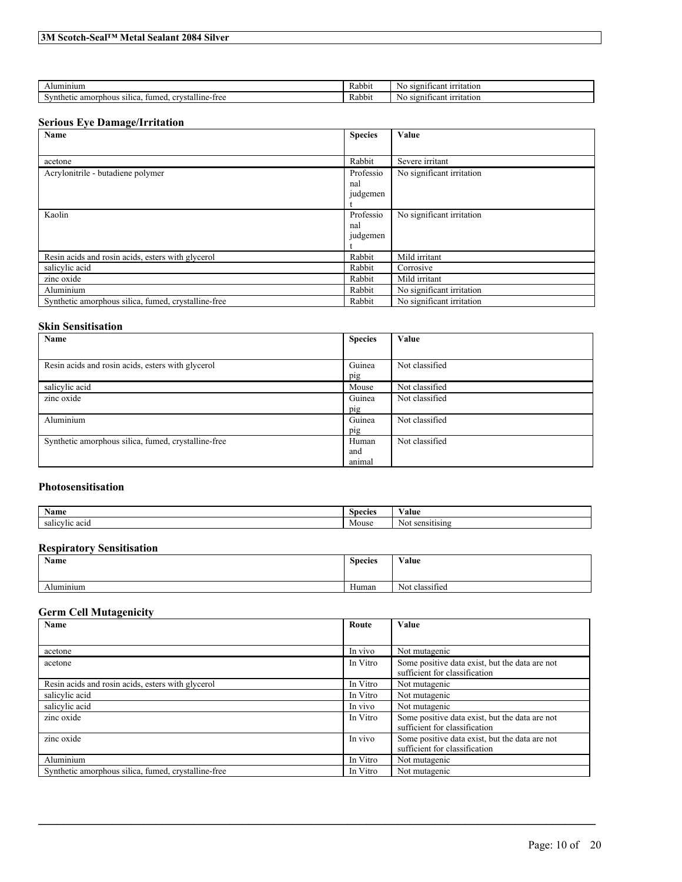| ,lumınıum                                                                               | Rabbit | S12N1<br>ficant<br>-irritation<br>NC  |
|-----------------------------------------------------------------------------------------|--------|---------------------------------------|
| .<br><br>nthetic amorphous<br>CFTIC<br>stalline<br>·free<br>' Silica<br>umed.<br>u<br>້ | Rabbit | S12011<br>ficant<br>-irritation<br>ΝC |

### **Serious Eye Damage/Irritation**

| Name                                                | <b>Species</b> | Value                     |
|-----------------------------------------------------|----------------|---------------------------|
|                                                     |                |                           |
| acetone                                             | Rabbit         | Severe irritant           |
| Acrylonitrile - butadiene polymer                   | Professio      | No significant irritation |
|                                                     | nal            |                           |
|                                                     | judgemen       |                           |
|                                                     |                |                           |
| Kaolin                                              | Professio      | No significant irritation |
|                                                     | nal            |                           |
|                                                     | judgemen       |                           |
|                                                     |                |                           |
| Resin acids and rosin acids, esters with glycerol   | Rabbit         | Mild irritant             |
| salicylic acid                                      | Rabbit         | Corrosive                 |
| zinc oxide                                          | Rabbit         | Mild irritant             |
| Aluminium                                           | Rabbit         | No significant irritation |
| Synthetic amorphous silica, fumed, crystalline-free | Rabbit         | No significant irritation |

#### **Skin Sensitisation**

| Name                                                | <b>Species</b> | Value          |
|-----------------------------------------------------|----------------|----------------|
|                                                     |                |                |
| Resin acids and rosin acids, esters with glycerol   | Guinea         | Not classified |
|                                                     | pig            |                |
| salicylic acid                                      | Mouse          | Not classified |
| zinc oxide                                          | Guinea         | Not classified |
|                                                     | pig            |                |
| Aluminium                                           | Guinea         | Not classified |
|                                                     | pig            |                |
| Synthetic amorphous silica, fumed, crystalline-free | Human          | Not classified |
|                                                     | and            |                |
|                                                     | animal         |                |

## **Photosensitisation**

| $\mathbf{X}$<br>Name                           | Species | 'alue                           |
|------------------------------------------------|---------|---------------------------------|
| $\sim$ $\sim$<br>salı<br>0.01<br>.<br>$\alpha$ | Mouse   | 11 C<br>NШ<br>$\cdots$ $\cdots$ |

## **Respiratory Sensitisation**

| Name                  | <b>Species</b><br>. | Value          |
|-----------------------|---------------------|----------------|
| $\cdots$<br>Aluminium | Human               | Not classified |

## **Germ Cell Mutagenicity**

| Name                                                | Route    | Value                                                                           |
|-----------------------------------------------------|----------|---------------------------------------------------------------------------------|
|                                                     |          |                                                                                 |
| acetone                                             | In vivo  | Not mutagenic                                                                   |
| acetone                                             | In Vitro | Some positive data exist, but the data are not<br>sufficient for classification |
| Resin acids and rosin acids, esters with glycerol   | In Vitro | Not mutagenic                                                                   |
| salicylic acid                                      | In Vitro | Not mutagenic                                                                   |
| salicylic acid                                      | In vivo  | Not mutagenic                                                                   |
| zinc oxide                                          | In Vitro | Some positive data exist, but the data are not<br>sufficient for classification |
| zinc oxide                                          | In vivo  | Some positive data exist, but the data are not<br>sufficient for classification |
| Aluminium                                           | In Vitro | Not mutagenic                                                                   |
| Synthetic amorphous silica, fumed, crystalline-free | In Vitro | Not mutagenic                                                                   |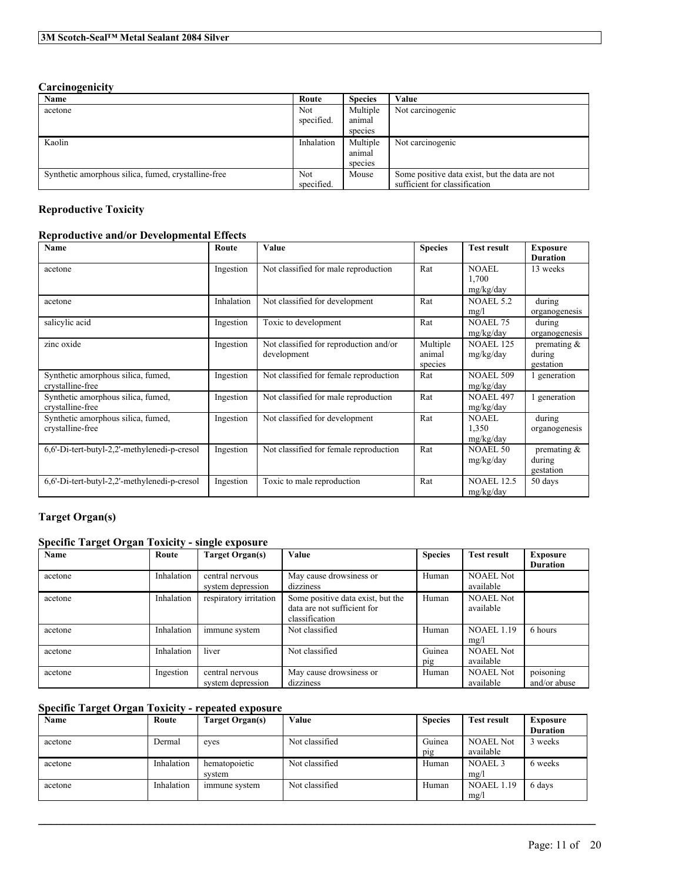## **Carcinogenicity**

| Name                                                | Route      | <b>Species</b> | Value                                          |
|-----------------------------------------------------|------------|----------------|------------------------------------------------|
| acetone                                             | Not.       | Multiple       | Not carcinogenic                               |
|                                                     | specified. | animal         |                                                |
|                                                     |            | species        |                                                |
| Kaolin                                              | Inhalation | Multiple       | Not carcinogenic                               |
|                                                     |            | animal         |                                                |
|                                                     |            | species        |                                                |
| Synthetic amorphous silica, fumed, crystalline-free | Not.       | Mouse          | Some positive data exist, but the data are not |
|                                                     | specified. |                | sufficient for classification                  |

## **Reproductive Toxicity**

## **Reproductive and/or Developmental Effects**

| Name                                                   | Route      | Value                                                 | <b>Species</b>                | <b>Test result</b>                 | <b>Exposure</b><br><b>Duration</b>    |
|--------------------------------------------------------|------------|-------------------------------------------------------|-------------------------------|------------------------------------|---------------------------------------|
| acetone                                                | Ingestion  | Not classified for male reproduction                  | Rat                           | <b>NOAEL</b><br>1,700<br>mg/kg/day | 13 weeks                              |
| acetone                                                | Inhalation | Not classified for development                        | Rat                           | <b>NOAEL 5.2</b><br>mg/l           | during<br>organogenesis               |
| salicylic acid                                         | Ingestion  | Toxic to development                                  | Rat                           | <b>NOAEL 75</b><br>mg/kg/day       | during<br>organogenesis               |
| zinc oxide                                             | Ingestion  | Not classified for reproduction and/or<br>development | Multiple<br>animal<br>species | <b>NOAEL 125</b><br>mg/kg/day      | premating $\&$<br>during<br>gestation |
| Synthetic amorphous silica, fumed,<br>crystalline-free | Ingestion  | Not classified for female reproduction                | Rat                           | <b>NOAEL 509</b><br>mg/kg/day      | 1 generation                          |
| Synthetic amorphous silica, fumed,<br>crystalline-free | Ingestion  | Not classified for male reproduction                  | Rat                           | <b>NOAEL 497</b><br>mg/kg/day      | 1 generation                          |
| Synthetic amorphous silica, fumed,<br>crystalline-free | Ingestion  | Not classified for development                        | Rat                           | <b>NOAEL</b><br>1,350<br>mg/kg/day | during<br>organogenesis               |
| 6,6'-Di-tert-butyl-2,2'-methylenedi-p-cresol           | Ingestion  | Not classified for female reproduction                | Rat                           | <b>NOAEL 50</b><br>mg/kg/day       | premating $\&$<br>during<br>gestation |
| 6,6'-Di-tert-butyl-2,2'-methylenedi-p-cresol           | Ingestion  | Toxic to male reproduction                            | Rat                           | <b>NOAEL 12.5</b><br>mg/kg/day     | 50 days                               |

# **Target Organ(s)**

## **Specific Target Organ Toxicity - single exposure**

| Name    | Route      | Target Organ(s)        | Value                             | <b>Species</b> | <b>Test result</b> | <b>Exposure</b> |
|---------|------------|------------------------|-----------------------------------|----------------|--------------------|-----------------|
|         |            |                        |                                   |                |                    | <b>Duration</b> |
| acetone | Inhalation | central nervous        | May cause drowsiness or           | Human          | <b>NOAEL Not</b>   |                 |
|         |            | system depression      | dizziness                         |                | available          |                 |
| acetone | Inhalation | respiratory irritation | Some positive data exist, but the | Human          | <b>NOAEL Not</b>   |                 |
|         |            |                        | data are not sufficient for       |                | available          |                 |
|         |            |                        | classification                    |                |                    |                 |
| acetone | Inhalation | immune system          | Not classified                    | Human          | <b>NOAEL 1.19</b>  | 6 hours         |
|         |            |                        |                                   |                | mg/l               |                 |
| acetone | Inhalation | liver                  | Not classified                    | Guinea         | <b>NOAEL Not</b>   |                 |
|         |            |                        |                                   | pig            | available          |                 |
| acetone | Ingestion  | central nervous        | May cause drowsiness or           | Human          | <b>NOAEL Not</b>   | poisoning       |
|         |            | system depression      | dizziness                         |                | available          | and/or abuse    |

## **Specific Target Organ Toxicity - repeated exposure**

| Name    | Route      | Target Organ(s) | Value          | <b>Species</b> | <b>Test result</b> | <b>Exposure</b> |
|---------|------------|-----------------|----------------|----------------|--------------------|-----------------|
|         |            |                 |                |                |                    | <b>Duration</b> |
| acetone | Dermal     | eves            | Not classified | Guinea         | <b>NOAEL Not</b>   | 3 weeks         |
|         |            |                 |                | pig            | available          |                 |
| acetone | Inhalation | hematopoietic   | Not classified | Human          | NOAEL <sub>3</sub> | 6 weeks         |
|         |            | system          |                |                | mg/l               |                 |
| acetone | Inhalation | immune system   | Not classified | Human          | <b>NOAEL 1.19</b>  | 6 days          |
|         |            |                 |                |                |                    |                 |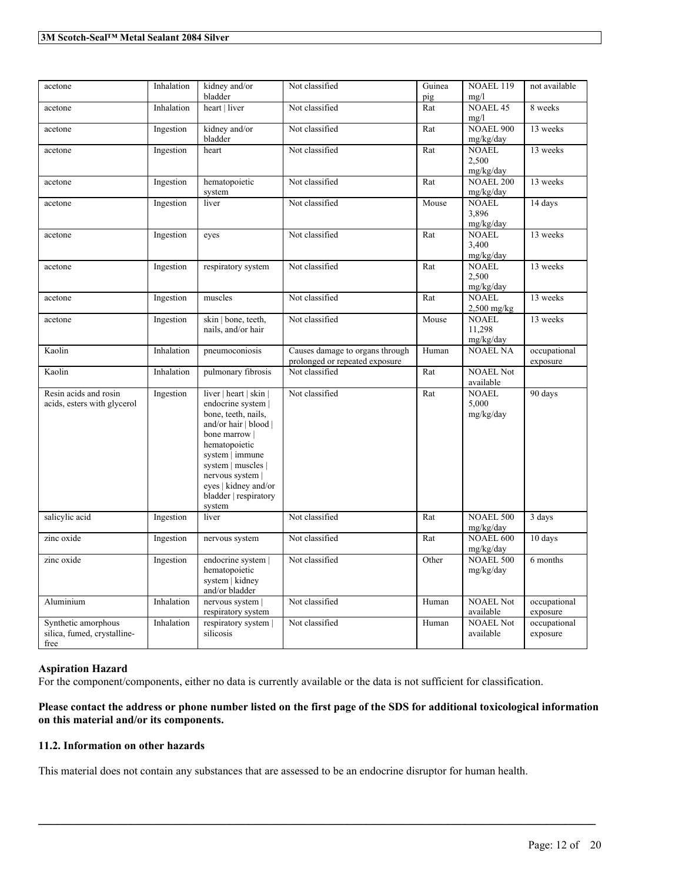| acetone                                                    | Inhalation | kidney and/or                                                                                                                                                                                                                                          | Not classified                                                    | Guinea | NOAEL 119                           | not available            |
|------------------------------------------------------------|------------|--------------------------------------------------------------------------------------------------------------------------------------------------------------------------------------------------------------------------------------------------------|-------------------------------------------------------------------|--------|-------------------------------------|--------------------------|
|                                                            |            | bladder                                                                                                                                                                                                                                                |                                                                   | pig    | mg/l                                |                          |
| acetone                                                    | Inhalation | heart   liver                                                                                                                                                                                                                                          | Not classified                                                    | Rat    | <b>NOAEL 45</b><br>mg/l             | 8 weeks                  |
| acetone                                                    | Ingestion  | kidney and/or<br>bladder                                                                                                                                                                                                                               | Not classified                                                    | Rat    | <b>NOAEL 900</b><br>mg/kg/day       | 13 weeks                 |
| acetone                                                    | Ingestion  | heart                                                                                                                                                                                                                                                  | Not classified                                                    | Rat    | <b>NOAEL</b><br>2,500               | 13 weeks                 |
|                                                            |            |                                                                                                                                                                                                                                                        |                                                                   |        | mg/kg/day                           |                          |
| acetone                                                    | Ingestion  | hematopoietic<br>system                                                                                                                                                                                                                                | Not classified                                                    | Rat    | <b>NOAEL 200</b><br>mg/kg/day       | 13 weeks                 |
| acetone                                                    | Ingestion  | liver                                                                                                                                                                                                                                                  | Not classified                                                    | Mouse  | <b>NOAEL</b><br>3,896<br>mg/kg/day  | 14 days                  |
| acetone                                                    | Ingestion  | eyes                                                                                                                                                                                                                                                   | Not classified                                                    | Rat    | <b>NOAEL</b><br>3,400<br>mg/kg/day  | 13 weeks                 |
| acetone                                                    | Ingestion  | respiratory system                                                                                                                                                                                                                                     | Not classified                                                    | Rat    | <b>NOAEL</b><br>2,500<br>mg/kg/day  | 13 weeks                 |
| acetone                                                    | Ingestion  | muscles                                                                                                                                                                                                                                                | Not classified                                                    | Rat    | <b>NOAEL</b><br>$2,500$ mg/kg       | 13 weeks                 |
| acetone                                                    | Ingestion  | skin   bone, teeth,<br>nails, and/or hair                                                                                                                                                                                                              | Not classified                                                    | Mouse  | <b>NOAEL</b><br>11,298<br>mg/kg/day | 13 weeks                 |
| Kaolin                                                     | Inhalation | pneumoconiosis                                                                                                                                                                                                                                         | Causes damage to organs through<br>prolonged or repeated exposure | Human  | <b>NOAEL NA</b>                     | occupational<br>exposure |
| Kaolin                                                     | Inhalation | pulmonary fibrosis                                                                                                                                                                                                                                     | Not classified                                                    | Rat    | <b>NOAEL Not</b><br>available       |                          |
| Resin acids and rosin<br>acids, esters with glycerol       | Ingestion  | liver   heart   skin  <br>endocrine system  <br>bone, teeth, nails,<br>and/or hair   blood  <br>bone marrow  <br>hematopoietic<br>system   immune<br>system   muscles  <br>nervous system  <br>eyes   kidney and/or<br>bladder   respiratory<br>system | Not classified                                                    | Rat    | <b>NOAEL</b><br>5,000<br>mg/kg/day  | 90 days                  |
| salicylic acid                                             | Ingestion  | liver                                                                                                                                                                                                                                                  | Not classified                                                    | Rat    | <b>NOAEL 500</b><br>mg/kg/day       | 3 days                   |
| zinc oxide                                                 | Ingestion  | nervous system                                                                                                                                                                                                                                         | Not classified                                                    | Rat    | <b>NOAEL 600</b><br>mg/kg/day       | 10 days                  |
| zinc oxide                                                 | Ingestion  | endocrine system  <br>hematopoietic<br>system   kidney<br>and/or bladder                                                                                                                                                                               | Not classified                                                    | Other  | <b>NOAEL 500</b><br>mg/kg/day       | 6 months                 |
| Aluminium                                                  | Inhalation | nervous system  <br>respiratory system                                                                                                                                                                                                                 | Not classified                                                    | Human  | <b>NOAEL Not</b><br>available       | occupational<br>exposure |
| Synthetic amorphous<br>silica, fumed, crystalline-<br>free | Inhalation | respiratory system  <br>silicosis                                                                                                                                                                                                                      | Not classified                                                    | Human  | <b>NOAEL Not</b><br>available       | occupational<br>exposure |

#### **Aspiration Hazard**

For the component/components, either no data is currently available or the data is not sufficient for classification.

## Please contact the address or phone number listed on the first page of the SDS for additional toxicological information **on this material and/or its components.**

 $\mathcal{L}_\mathcal{L} = \mathcal{L}_\mathcal{L} = \mathcal{L}_\mathcal{L} = \mathcal{L}_\mathcal{L} = \mathcal{L}_\mathcal{L} = \mathcal{L}_\mathcal{L} = \mathcal{L}_\mathcal{L} = \mathcal{L}_\mathcal{L} = \mathcal{L}_\mathcal{L} = \mathcal{L}_\mathcal{L} = \mathcal{L}_\mathcal{L} = \mathcal{L}_\mathcal{L} = \mathcal{L}_\mathcal{L} = \mathcal{L}_\mathcal{L} = \mathcal{L}_\mathcal{L} = \mathcal{L}_\mathcal{L} = \mathcal{L}_\mathcal{L}$ 

#### **11.2. Information on other hazards**

This material does not contain any substances that are assessed to be an endocrine disruptor for human health.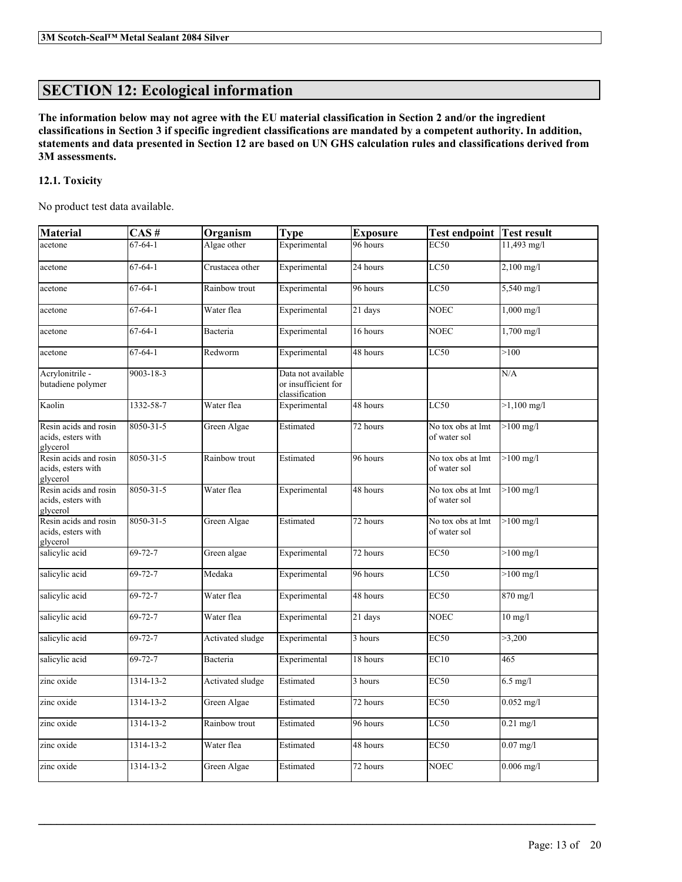# **SECTION 12: Ecological information**

The information below may not agree with the EU material classification in Section 2 and/or the ingredient classifications in Section 3 if specific ingredient classifications are mandated by a competent authority. In addition, statements and data presented in Section 12 are based on UN GHS calculation rules and classifications derived from **3M assessments.**

## **12.1. Toxicity**

No product test data available.

| <b>Material</b>                                         | CAS#          | Organism         | <b>Type</b>                                                 | <b>Exposure</b> | <b>Test endpoint</b>              | Test result          |
|---------------------------------------------------------|---------------|------------------|-------------------------------------------------------------|-----------------|-----------------------------------|----------------------|
| acetone                                                 | $67 - 64 - 1$ | Algae other      | Experimental                                                | 96 hours        | <b>EC50</b>                       | 11,493 mg/l          |
| acetone                                                 | $67 - 64 - 1$ | Crustacea other  | Experimental                                                | 24 hours        | LC50                              | $2,100$ mg/l         |
| acetone                                                 | $67-64-1$     | Rainbow trout    | Experimental                                                | 96 hours        | LC50                              | $5,540$ mg/l         |
| acetone                                                 | $67 - 64 - 1$ | Water flea       | Experimental                                                | 21 days         | <b>NOEC</b>                       | $1,000 \text{ mg/l}$ |
| acetone                                                 | $67 - 64 - 1$ | Bacteria         | Experimental                                                | 16 hours        | <b>NOEC</b>                       | $1,700$ mg/l         |
| acetone                                                 | $67 - 64 - 1$ | Redworm          | Experimental                                                | 48 hours        | LC50                              | >100                 |
| Acrylonitrile -<br>butadiene polymer                    | 9003-18-3     |                  | Data not available<br>or insufficient for<br>classification |                 |                                   | N/A                  |
| Kaolin                                                  | 1332-58-7     | Water flea       | Experimental                                                | 48 hours        | LC50                              | $>1,100$ mg/l        |
| Resin acids and rosin<br>acids, esters with<br>glycerol | 8050-31-5     | Green Algae      | Estimated                                                   | 72 hours        | No tox obs at lmt<br>of water sol | $>100$ mg/l          |
| Resin acids and rosin<br>acids, esters with<br>glycerol | 8050-31-5     | Rainbow trout    | Estimated                                                   | 96 hours        | No tox obs at lmt<br>of water sol | $>100$ mg/l          |
| Resin acids and rosin<br>acids, esters with<br>glycerol | 8050-31-5     | Water flea       | Experimental                                                | 48 hours        | No tox obs at lmt<br>of water sol | $>100$ mg/l          |
| Resin acids and rosin<br>acids, esters with<br>glycerol | 8050-31-5     | Green Algae      | Estimated                                                   | 72 hours        | No tox obs at lmt<br>of water sol | $>100$ mg/l          |
| salicylic acid                                          | $69 - 72 - 7$ | Green algae      | Experimental                                                | 72 hours        | <b>EC50</b>                       | $>100$ mg/l          |
| salicylic acid                                          | $69 - 72 - 7$ | Medaka           | Experimental                                                | 96 hours        | LC50                              | $>100$ mg/l          |
| salicylic acid                                          | $69 - 72 - 7$ | Water flea       | Experimental                                                | 48 hours        | <b>EC50</b>                       | 870 mg/l             |
| salicylic acid                                          | $69 - 72 - 7$ | Water flea       | Experimental                                                | 21 days         | <b>NOEC</b>                       | $10$ mg/l            |
| salicylic acid                                          | $69 - 72 - 7$ | Activated sludge | Experimental                                                | 3 hours         | EC50                              | >3,200               |
| salicylic acid                                          | $69 - 72 - 7$ | Bacteria         | Experimental                                                | 18 hours        | EC10                              | 465                  |
| zinc oxide                                              | 1314-13-2     | Activated sludge | Estimated                                                   | 3 hours         | <b>EC50</b>                       | $6.5$ mg/l           |
| zinc oxide                                              | 1314-13-2     | Green Algae      | Estimated                                                   | 72 hours        | EC50                              | $0.052$ mg/l         |
| zinc oxide                                              | 1314-13-2     | Rainbow trout    | Estimated                                                   | 96 hours        | LC50                              | $0.21$ mg/l          |
| zinc oxide                                              | 1314-13-2     | Water flea       | Estimated                                                   | 48 hours        | <b>EC50</b>                       | $0.07$ mg/l          |
| zinc oxide                                              | 1314-13-2     | Green Algae      | Estimated                                                   | 72 hours        | NOEC                              | $0.006$ mg/l         |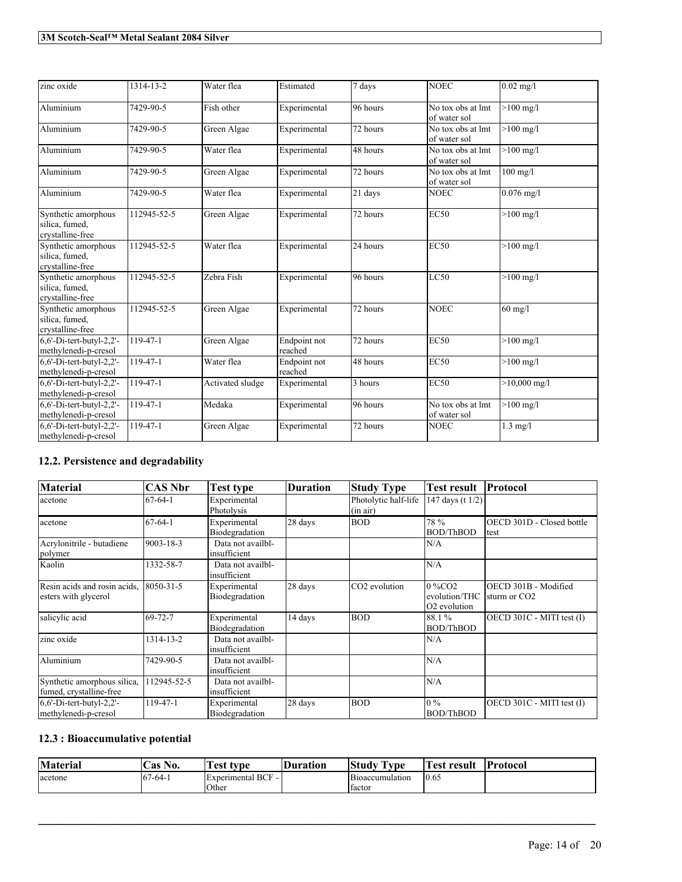| zinc oxide                                                | 1314-13-2   | Water flea       | Estimated               | 7 days   | <b>NOEC</b>                       | $0.02$ mg/l         |
|-----------------------------------------------------------|-------------|------------------|-------------------------|----------|-----------------------------------|---------------------|
| Aluminium                                                 | 7429-90-5   | Fish other       | Experimental            | 96 hours | No tox obs at lmt<br>of water sol | $>100$ mg/l         |
| Aluminium                                                 | 7429-90-5   | Green Algae      | Experimental            | 72 hours | No tox obs at lmt<br>of water sol | $>100 \text{ mg/l}$ |
| Aluminium                                                 | 7429-90-5   | Water flea       | Experimental            | 48 hours | No tox obs at lmt<br>of water sol | $>100 \text{ mg/l}$ |
| Aluminium                                                 | 7429-90-5   | Green Algae      | Experimental            | 72 hours | No tox obs at lmt<br>of water sol | $100$ mg/l          |
| Aluminium                                                 | 7429-90-5   | Water flea       | Experimental            | 21 days  | <b>NOEC</b>                       | $0.076$ mg/l        |
| Synthetic amorphous<br>silica, fumed,<br>crystalline-free | 112945-52-5 | Green Algae      | Experimental            | 72 hours | EC50                              | $>100$ mg/l         |
| Synthetic amorphous<br>silica, fumed,<br>crystalline-free | 112945-52-5 | Water flea       | Experimental            | 24 hours | <b>EC50</b>                       | $>100 \text{ mg/l}$ |
| Synthetic amorphous<br>silica, fumed,<br>crystalline-free | 112945-52-5 | Zebra Fish       | Experimental            | 96 hours | LC50                              | $>100$ mg/l         |
| Synthetic amorphous<br>silica, fumed,<br>crystalline-free | 112945-52-5 | Green Algae      | Experimental            | 72 hours | <b>NOEC</b>                       | $60$ mg/l           |
| $6,6'$ -Di-tert-butyl-2,2'-<br>methylenedi-p-cresol       | 119-47-1    | Green Algae      | Endpoint not<br>reached | 72 hours | <b>EC50</b>                       | $>100 \text{ mg/l}$ |
| $6,6'$ -Di-tert-butyl-2,2'-<br>methylenedi-p-cresol       | 119-47-1    | Water flea       | Endpoint not<br>reached | 48 hours | EC50                              | $>100 \text{ mg/l}$ |
| $6,6'$ -Di-tert-butyl-2,2'-<br>methylenedi-p-cresol       | 119-47-1    | Activated sludge | Experimental            | 3 hours  | <b>EC50</b>                       | $>10,000$ mg/l      |
| $6,6'$ -Di-tert-butyl-2,2'-<br>methylenedi-p-cresol       | 119-47-1    | Medaka           | Experimental            | 96 hours | No tox obs at lmt<br>of water sol | $>100$ mg/l         |
| $6,6'$ -Di-tert-butyl-2,2'-<br>methylenedi-p-cresol       | 119-47-1    | Green Algae      | Experimental            | 72 hours | <b>NOEC</b>                       | $1.3$ mg/l          |

# **12.2. Persistence and degradability**

| <b>Material</b>                                        | <b>CAS Nbr</b> | Test type                         | <b>Duration</b> | <b>Study Type</b>                | <b>Test result</b>                                                 | Protocol                                         |
|--------------------------------------------------------|----------------|-----------------------------------|-----------------|----------------------------------|--------------------------------------------------------------------|--------------------------------------------------|
| acetone                                                | $67 - 64 - 1$  | Experimental<br>Photolysis        |                 | Photolytic half-life<br>(in air) | 147 days (t 1/2)                                                   |                                                  |
| acetone                                                | $67 - 64 - 1$  | Experimental<br>Biodegradation    | 28 days         | <b>BOD</b>                       | 78 %<br><b>BOD/ThBOD</b>                                           | OECD 301D - Closed bottle<br>test                |
| Acrylonitrile - butadiene<br>polymer                   | 9003-18-3      | Data not availbl-<br>insufficient |                 |                                  | N/A                                                                |                                                  |
| Kaolin                                                 | 1332-58-7      | Data not availbl-<br>insufficient |                 |                                  | N/A                                                                |                                                  |
| Resin acids and rosin acids,<br>esters with glycerol   | 8050-31-5      | Experimental<br>Biodegradation    | 28 days         | CO <sub>2</sub> evolution        | $0\%$ CO <sub>2</sub><br>evolution/THC<br>O <sub>2</sub> evolution | OECD 301B - Modified<br>sturm or CO <sub>2</sub> |
| salicylic acid                                         | $69 - 72 - 7$  | Experimental<br>Biodegradation    | 14 days         | <b>BOD</b>                       | 88.1 %<br>BOD/ThBOD                                                | OECD 301C - MITI test (I)                        |
| zinc oxide                                             | 1314-13-2      | Data not availbl-<br>insufficient |                 |                                  | N/A                                                                |                                                  |
| Aluminium                                              | 7429-90-5      | Data not availbl-<br>insufficient |                 |                                  | N/A                                                                |                                                  |
| Synthetic amorphous silica,<br>fumed, crystalline-free | 12945-52-5     | Data not availbl-<br>insufficient |                 |                                  | N/A                                                                |                                                  |
| $6,6'$ -Di-tert-butyl-2,2'-<br>methylenedi-p-cresol    | 119-47-1       | Experimental<br>Biodegradation    | 28 days         | <b>BOD</b>                       | $10\%$<br><b>BOD/ThBOD</b>                                         | OECD 301C - MITI test (I)                        |

## **12.3 : Bioaccumulative potential**

| <b>Material</b> | $\mathbf{H}$<br>Cas No. | rest type            | Duration | <b>Study</b><br><b>CONTRACTOR</b><br>l vpe | est<br>resul\ | <b>Protocol</b> |
|-----------------|-------------------------|----------------------|----------|--------------------------------------------|---------------|-----------------|
| acetone         | $167-64-1$              | $Experimental BCF -$ |          | Bioaccumulation                            | 10.65         |                 |
|                 |                         | Other                |          | factor                                     |               |                 |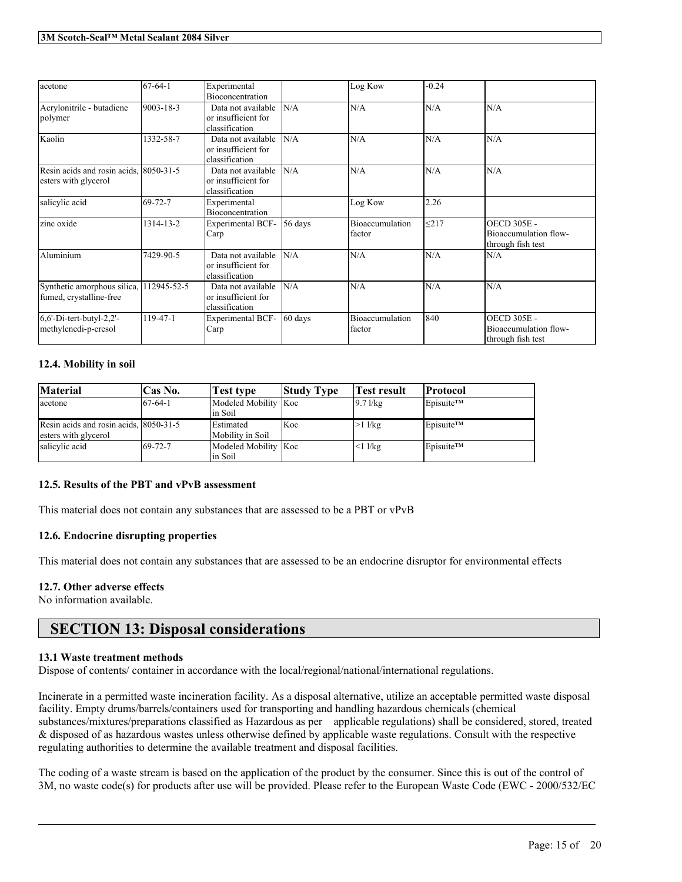| acetone                                                            | $67 - 64 - 1$ | Experimental<br>Bioconcentration                            |           | Log Kow                   | $-0.24$    |                                                                  |
|--------------------------------------------------------------------|---------------|-------------------------------------------------------------|-----------|---------------------------|------------|------------------------------------------------------------------|
| Acrylonitrile - butadiene<br>polymer                               | 9003-18-3     | Data not available<br>or insufficient for<br>classification | N/A       | N/A                       | N/A        | N/A                                                              |
| Kaolin                                                             | 1332-58-7     | Data not available<br>or insufficient for<br>classification | N/A       | N/A                       | N/A        | N/A                                                              |
| Resin acids and rosin acids, 8050-31-5<br>esters with glycerol     |               | Data not available<br>or insufficient for<br>classification | N/A       | N/A                       | N/A        | N/A                                                              |
| salicylic acid                                                     | 69-72-7       | Experimental<br>Bioconcentration                            |           | Log Kow                   | 2.26       |                                                                  |
| zinc oxide                                                         | 1314-13-2     | <b>Experimental BCF-</b><br>Carp                            | $56$ days | Bioaccumulation<br>factor | $\leq$ 217 | <b>OECD 305E -</b><br>Bioaccumulation flow-<br>through fish test |
| Aluminium                                                          | 7429-90-5     | Data not available<br>or insufficient for<br>classification | N/A       | N/A                       | N/A        | N/A                                                              |
| Synthetic amorphous silica, 112945-52-5<br>fumed, crystalline-free |               | Data not available<br>or insufficient for<br>classification | N/A       | N/A                       | N/A        | N/A                                                              |
| $6,6'$ -Di-tert-butyl-2,2'-<br>methylenedi-p-cresol                | 119-47-1      | <b>Experimental BCF-</b><br>Carp                            | 60 days   | Bioaccumulation<br>factor | 840        | <b>OECD 305E -</b><br>Bioaccumulation flow-<br>through fish test |

### **12.4. Mobility in soil**

| <b>Material</b>                                                | Cas No.   | <b>Test type</b>                     | <b>Study Type</b> | <b>Test result</b> | Protocol  |
|----------------------------------------------------------------|-----------|--------------------------------------|-------------------|--------------------|-----------|
| acetone                                                        | $67-64-1$ | Modeled Mobility Koc<br>lin Soil     |                   | $9.7$ $1/kg$       | Episuite™ |
| Resin acids and rosin acids, 8050-31-5<br>esters with glycerol |           | <b>Estimated</b><br>Mobility in Soil | Koc               | $>1$ l/kg          | Episuite™ |
| salicylic acid                                                 | 69-72-7   | Modeled Mobility Koc<br>lin Soil     |                   | $<1$ l/kg          | Episuite™ |

## **12.5. Results of the PBT and vPvB assessment**

This material does not contain any substances that are assessed to be a PBT or vPvB

#### **12.6. Endocrine disrupting properties**

This material does not contain any substances that are assessed to be an endocrine disruptor for environmental effects

#### **12.7. Other adverse effects**

No information available.

# **SECTION 13: Disposal considerations**

#### **13.1 Waste treatment methods**

Dispose of contents/ container in accordance with the local/regional/national/international regulations.

Incinerate in a permitted waste incineration facility. As a disposal alternative, utilize an acceptable permitted waste disposal facility. Empty drums/barrels/containers used for transporting and handling hazardous chemicals (chemical substances/mixtures/preparations classified as Hazardous as per applicable regulations) shall be considered, stored, treated & disposed of as hazardous wastes unless otherwise defined by applicable waste regulations. Consult with the respective regulating authorities to determine the available treatment and disposal facilities.

The coding of a waste stream is based on the application of the product by the consumer. Since this is out of the control of 3M, no waste code(s) for products after use will be provided. Please refer to the European Waste Code (EWC - 2000/532/EC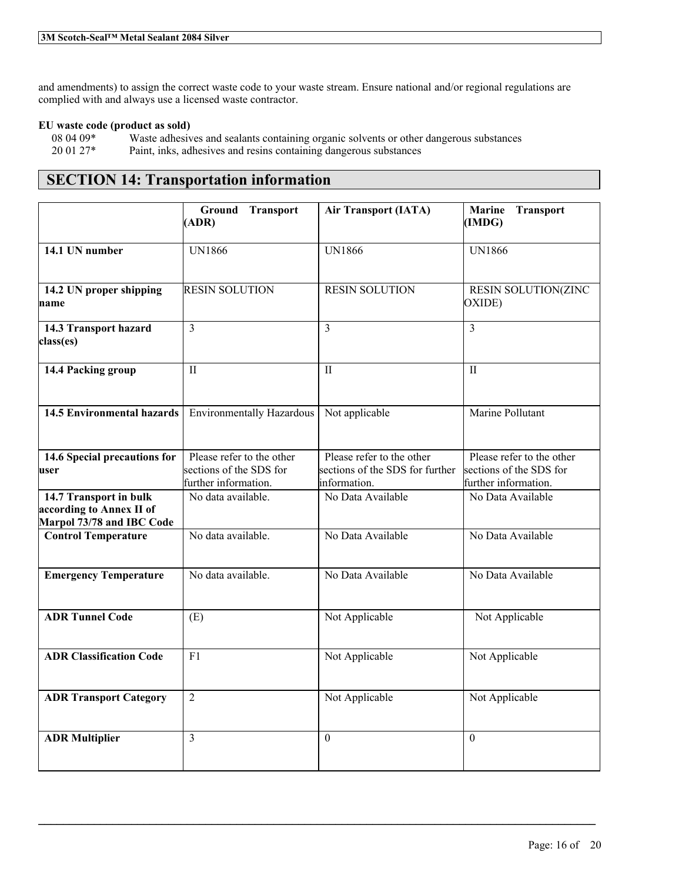and amendments) to assign the correct waste code to your waste stream. Ensure national and/or regional regulations are complied with and always use a licensed waste contractor.

### **EU waste code (product as sold)**

08 04 09\* Waste adhesives and sealants containing organic solvents or other dangerous substances 20 01 27\* Paint, inks, adhesives and resins containing dangerous substances

# **SECTION 14: Transportation information**

|                                                                                 | Ground Transport<br>(ADR)                                                    | <b>Air Transport (IATA)</b>                                                  | <b>Marine</b><br><b>Transport</b><br>(IMDG)                                  |
|---------------------------------------------------------------------------------|------------------------------------------------------------------------------|------------------------------------------------------------------------------|------------------------------------------------------------------------------|
| 14.1 UN number                                                                  | <b>UN1866</b>                                                                | <b>UN1866</b>                                                                | <b>UN1866</b>                                                                |
| 14.2 UN proper shipping<br>name                                                 | <b>RESIN SOLUTION</b>                                                        | <b>RESIN SOLUTION</b>                                                        | RESIN SOLUTION(ZINC<br>OXIDE)                                                |
| 14.3 Transport hazard<br>class(es)                                              | $\overline{3}$                                                               | $\mathcal{E}$                                                                | $\overline{3}$                                                               |
| 14.4 Packing group                                                              | $\mathbf{H}$                                                                 | $\mathbf{H}$                                                                 | $\mathbf{H}$                                                                 |
| <b>14.5 Environmental hazards</b>                                               | <b>Environmentally Hazardous</b>                                             | Not applicable                                                               | Marine Pollutant                                                             |
| 14.6 Special precautions for<br>user                                            | Please refer to the other<br>sections of the SDS for<br>further information. | Please refer to the other<br>sections of the SDS for further<br>information. | Please refer to the other<br>sections of the SDS for<br>further information. |
| 14.7 Transport in bulk<br>according to Annex II of<br>Marpol 73/78 and IBC Code | No data available.                                                           | No Data Available                                                            | No Data Available                                                            |
| <b>Control Temperature</b>                                                      | No data available.                                                           | No Data Available                                                            | No Data Available                                                            |
| <b>Emergency Temperature</b>                                                    | No data available.                                                           | No Data Available                                                            | No Data Available                                                            |
| <b>ADR Tunnel Code</b>                                                          | (E)                                                                          | Not Applicable                                                               | Not Applicable                                                               |
| <b>ADR Classification Code</b>                                                  | F1                                                                           | Not Applicable                                                               | Not Applicable                                                               |
| <b>ADR Transport Category</b>                                                   | $\overline{2}$                                                               | Not Applicable                                                               | Not Applicable                                                               |
| <b>ADR Multiplier</b>                                                           | $\overline{3}$                                                               | $\Omega$                                                                     | $\theta$                                                                     |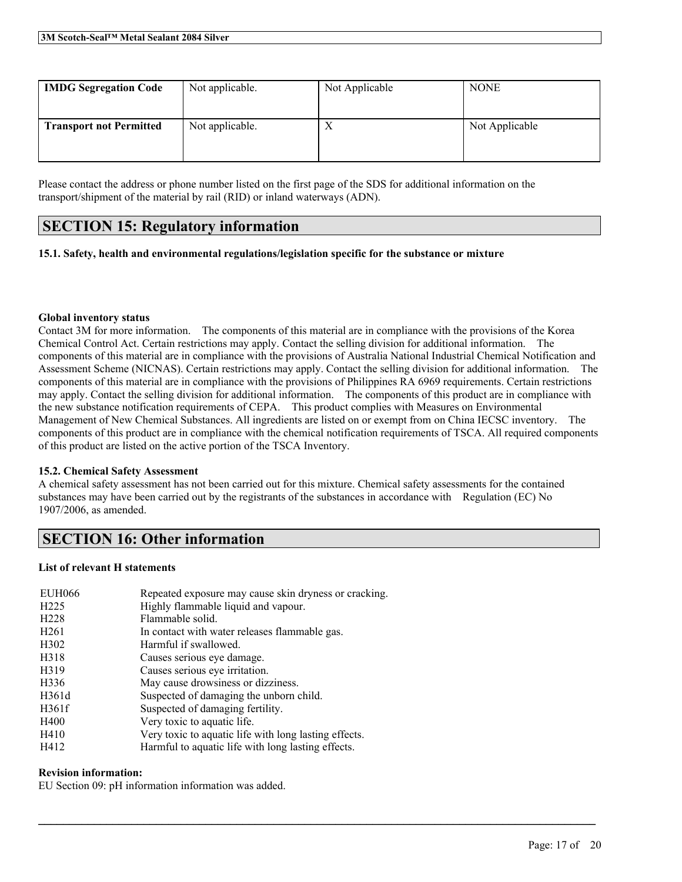| <b>IMDG Segregation Code</b>   | Not applicable. | Not Applicable | <b>NONE</b>    |
|--------------------------------|-----------------|----------------|----------------|
| <b>Transport not Permitted</b> | Not applicable. | Х              | Not Applicable |

Please contact the address or phone number listed on the first page of the SDS for additional information on the transport/shipment of the material by rail (RID) or inland waterways (ADN).

# **SECTION 15: Regulatory information**

## **15.1. Safety, health and environmental regulations/legislation specific for the substance or mixture**

#### **Global inventory status**

Contact 3M for more information. The components of this material are in compliance with the provisions of the Korea Chemical Control Act. Certain restrictions may apply. Contact the selling division for additional information. The components of this material are in compliance with the provisions of Australia National Industrial Chemical Notification and Assessment Scheme (NICNAS). Certain restrictions may apply. Contact the selling division for additional information. The components of this material are in compliance with the provisions of Philippines RA 6969 requirements. Certain restrictions may apply. Contact the selling division for additional information. The components of this product are in compliance with the new substance notification requirements of CEPA. This product complies with Measures on Environmental Management of New Chemical Substances. All ingredients are listed on or exempt from on China IECSC inventory. The components of this product are in compliance with the chemical notification requirements of TSCA. All required components of this product are listed on the active portion of the TSCA Inventory.

#### **15.2. Chemical Safety Assessment**

A chemical safety assessment has not been carried out for this mixture. Chemical safety assessments for the contained substances may have been carried out by the registrants of the substances in accordance with Regulation (EC) No 1907/2006, as amended.

 $\mathcal{L}_\mathcal{L} = \mathcal{L}_\mathcal{L} = \mathcal{L}_\mathcal{L} = \mathcal{L}_\mathcal{L} = \mathcal{L}_\mathcal{L} = \mathcal{L}_\mathcal{L} = \mathcal{L}_\mathcal{L} = \mathcal{L}_\mathcal{L} = \mathcal{L}_\mathcal{L} = \mathcal{L}_\mathcal{L} = \mathcal{L}_\mathcal{L} = \mathcal{L}_\mathcal{L} = \mathcal{L}_\mathcal{L} = \mathcal{L}_\mathcal{L} = \mathcal{L}_\mathcal{L} = \mathcal{L}_\mathcal{L} = \mathcal{L}_\mathcal{L}$ 

# **SECTION 16: Other information**

#### **List of relevant H statements**

| <b>EUH066</b>     | Repeated exposure may cause skin dryness or cracking. |
|-------------------|-------------------------------------------------------|
| H <sub>225</sub>  | Highly flammable liquid and vapour.                   |
| H <sub>228</sub>  | Flammable solid.                                      |
| H <sub>261</sub>  | In contact with water releases flammable gas.         |
| H <sub>3</sub> 02 | Harmful if swallowed.                                 |
| H318              | Causes serious eye damage.                            |
| H319              | Causes serious eye irritation.                        |
| H336              | May cause drowsiness or dizziness.                    |
| H361d             | Suspected of damaging the unborn child.               |
| H361f             | Suspected of damaging fertility.                      |
| H400              | Very toxic to aquatic life.                           |
| H410              | Very toxic to aquatic life with long lasting effects. |
| H412              | Harmful to aquatic life with long lasting effects.    |

#### **Revision information:**

EU Section 09: pH information information was added.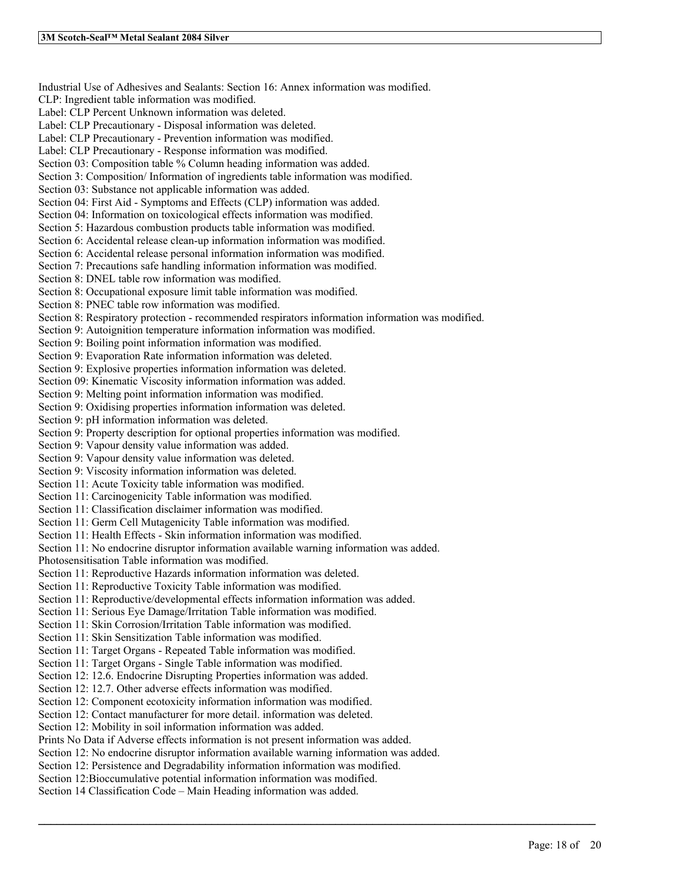Industrial Use of Adhesives and Sealants: Section 16: Annex information was modified. CLP: Ingredient table information was modified. Label: CLP Percent Unknown information was deleted. Label: CLP Precautionary - Disposal information was deleted. Label: CLP Precautionary - Prevention information was modified. Label: CLP Precautionary - Response information was modified. Section 03: Composition table % Column heading information was added. Section 3: Composition/ Information of ingredients table information was modified. Section 03: Substance not applicable information was added. Section 04: First Aid - Symptoms and Effects (CLP) information was added. Section 04: Information on toxicological effects information was modified. Section 5: Hazardous combustion products table information was modified. Section 6: Accidental release clean-up information information was modified. Section 6: Accidental release personal information information was modified. Section 7: Precautions safe handling information information was modified. Section 8: DNEL table row information was modified. Section 8: Occupational exposure limit table information was modified. Section 8: PNEC table row information was modified. Section 8: Respiratory protection - recommended respirators information information was modified. Section 9: Autoignition temperature information information was modified. Section 9: Boiling point information information was modified. Section 9: Evaporation Rate information information was deleted. Section 9: Explosive properties information information was deleted. Section 09: Kinematic Viscosity information information was added. Section 9: Melting point information information was modified. Section 9: Oxidising properties information information was deleted. Section 9: pH information information was deleted. Section 9: Property description for optional properties information was modified. Section 9: Vapour density value information was added. Section 9: Vapour density value information was deleted. Section 9: Viscosity information information was deleted. Section 11: Acute Toxicity table information was modified. Section 11: Carcinogenicity Table information was modified. Section 11: Classification disclaimer information was modified. Section 11: Germ Cell Mutagenicity Table information was modified. Section 11: Health Effects - Skin information information was modified. Section 11: No endocrine disruptor information available warning information was added. Photosensitisation Table information was modified. Section 11: Reproductive Hazards information information was deleted. Section 11: Reproductive Toxicity Table information was modified. Section 11: Reproductive/developmental effects information information was added. Section 11: Serious Eye Damage/Irritation Table information was modified. Section 11: Skin Corrosion/Irritation Table information was modified. Section 11: Skin Sensitization Table information was modified. Section 11: Target Organs - Repeated Table information was modified. Section 11: Target Organs - Single Table information was modified. Section 12: 12.6. Endocrine Disrupting Properties information was added. Section 12: 12.7. Other adverse effects information was modified. Section 12: Component ecotoxicity information information was modified. Section 12: Contact manufacturer for more detail. information was deleted. Section 12: Mobility in soil information information was added. Prints No Data if Adverse effects information is not present information was added. Section 12: No endocrine disruptor information available warning information was added. Section 12: Persistence and Degradability information information was modified. Section 12:Bioccumulative potential information information was modified. Section 14 Classification Code – Main Heading information was added.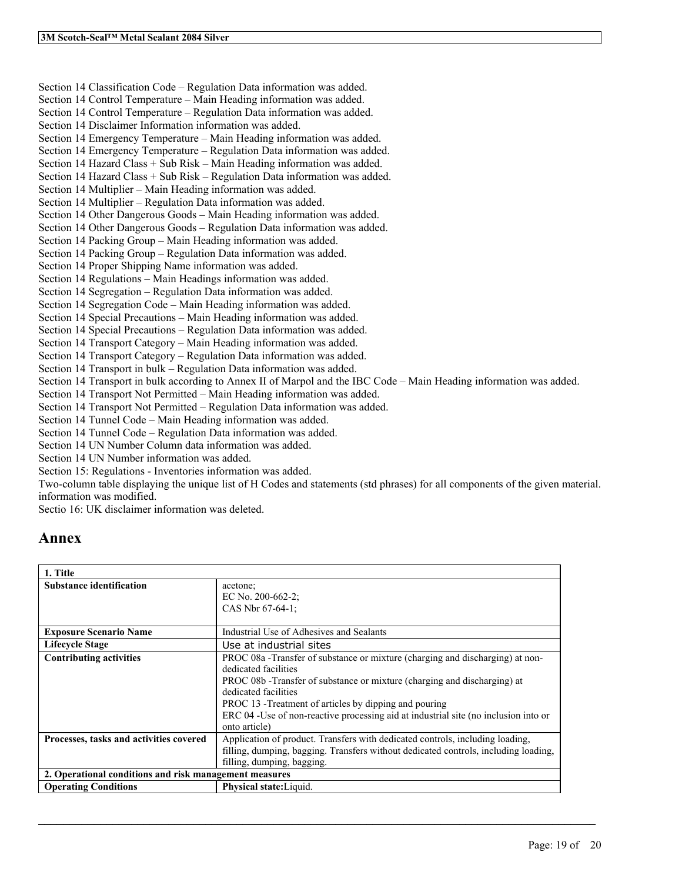Section 14 Classification Code – Regulation Data information was added. Section 14 Control Temperature – Main Heading information was added. Section 14 Control Temperature – Regulation Data information was added. Section 14 Disclaimer Information information was added. Section 14 Emergency Temperature – Main Heading information was added. Section 14 Emergency Temperature – Regulation Data information was added. Section 14 Hazard Class + Sub Risk – Main Heading information was added. Section 14 Hazard Class + Sub Risk – Regulation Data information was added. Section 14 Multiplier – Main Heading information was added. Section 14 Multiplier – Regulation Data information was added. Section 14 Other Dangerous Goods – Main Heading information was added. Section 14 Other Dangerous Goods – Regulation Data information was added. Section 14 Packing Group – Main Heading information was added. Section 14 Packing Group – Regulation Data information was added. Section 14 Proper Shipping Name information was added. Section 14 Regulations – Main Headings information was added. Section 14 Segregation – Regulation Data information was added. Section 14 Segregation Code – Main Heading information was added. Section 14 Special Precautions – Main Heading information was added. Section 14 Special Precautions – Regulation Data information was added. Section 14 Transport Category – Main Heading information was added. Section 14 Transport Category – Regulation Data information was added. Section 14 Transport in bulk – Regulation Data information was added. Section 14 Transport in bulk according to Annex II of Marpol and the IBC Code – Main Heading information was added. Section 14 Transport Not Permitted – Main Heading information was added. Section 14 Transport Not Permitted – Regulation Data information was added. Section 14 Tunnel Code – Main Heading information was added. Section 14 Tunnel Code – Regulation Data information was added. Section 14 UN Number Column data information was added. Section 14 UN Number information was added. Section 15: Regulations - Inventories information was added. Two-column table displaying the unique list of H Codes and statements (std phrases) for all components of the given material.

information was modified.

Sectio 16: UK disclaimer information was deleted.

# **Annex**

| 1. Title                                               |                                                                                      |
|--------------------------------------------------------|--------------------------------------------------------------------------------------|
| <b>Substance identification</b>                        | acetone:                                                                             |
|                                                        | EC No. 200-662-2;                                                                    |
|                                                        | CAS Nbr 67-64-1;                                                                     |
| <b>Exposure Scenario Name</b>                          | Industrial Use of Adhesives and Sealants                                             |
| <b>Lifecycle Stage</b>                                 | Use at industrial sites                                                              |
| <b>Contributing activities</b>                         | PROC 08a - Transfer of substance or mixture (charging and discharging) at non-       |
|                                                        | dedicated facilities                                                                 |
|                                                        | PROC 08b - Transfer of substance or mixture (charging and discharging) at            |
|                                                        | dedicated facilities                                                                 |
|                                                        | PROC 13 - Treatment of articles by dipping and pouring                               |
|                                                        | ERC 04 - Use of non-reactive processing aid at industrial site (no inclusion into or |
|                                                        | onto article)                                                                        |
| Processes, tasks and activities covered                | Application of product. Transfers with dedicated controls, including loading,        |
|                                                        | filling, dumping, bagging. Transfers without dedicated controls, including loading,  |
|                                                        | filling, dumping, bagging.                                                           |
| 2. Operational conditions and risk management measures |                                                                                      |
| <b>Operating Conditions</b>                            | Physical state: Liquid.                                                              |